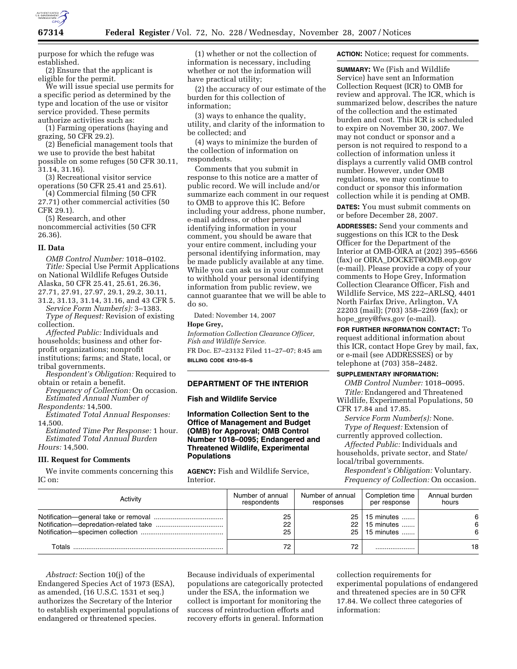

purpose for which the refuge was established.

(2) Ensure that the applicant is eligible for the permit.

We will issue special use permits for a specific period as determined by the type and location of the use or visitor service provided. These permits authorize activities such as:

(1) Farming operations (haying and grazing, 50 CFR 29.2).

(2) Beneficial management tools that we use to provide the best habitat possible on some refuges (50 CFR 30.11, 31.14, 31.16).

(3) Recreational visitor service operations (50 CFR 25.41 and 25.61).

(4) Commercial filming (50 CFR 27.71) other commercial activities (50 CFR 29.1).

(5) Research, and other noncommercial activities (50 CFR 26.36).

#### **II. Data**

*OMB Control Number:* 1018–0102. *Title:* Special Use Permit Applications on National Wildlife Refuges Outside Alaska, 50 CFR 25.41, 25.61, 26.36, 27.71, 27.91, 27.97, 29.1, 29.2, 30.11,

31.2, 31.13, 31.14, 31.16, and 43 CFR 5. *Service Form Number(s):* 3–1383. *Type of Request:* Revision of existing collection.

*Affected Public:* Individuals and households; business and other for-

profit organizations; nonprofit institutions; farms; and State, local, or

tribal governments.

*Respondent's Obligation:* Required to obtain or retain a benefit. *Frequency of Collection:* On occasion.

*Estimated Annual Number of Respondents:* 14,500.

*Estimated Total Annual Responses:* 

14,500. *Estimated Time Per Response:* 1 hour. *Estimated Total Annual Burden Hours:* 14,500.

# **III. Request for Comments**

We invite comments concerning this IC on:

(1) whether or not the collection of information is necessary, including whether or not the information will have practical utility;

(2) the accuracy of our estimate of the burden for this collection of information;

(3) ways to enhance the quality, utility, and clarity of the information to be collected; and

(4) ways to minimize the burden of the collection of information on respondents.

Comments that you submit in response to this notice are a matter of public record. We will include and/or summarize each comment in our request to OMB to approve this IC. Before including your address, phone number, e-mail address, or other personal identifying information in your comment, you should be aware that your entire comment, including your personal identifying information, may be made publicly available at any time. While you can ask us in your comment to withhold your personal identifying information from public review, we cannot guarantee that we will be able to do so.

Dated: November 14, 2007

### **Hope Grey,**

*Information Collection Clearance Officer, Fish and Wildlife Service.*  FR Doc. E7–23132 Filed 11–27–07; 8:45 am

**BILLING CODE 4310–55–S** 

### **DEPARTMENT OF THE INTERIOR**

# **Fish and Wildlife Service**

**Information Collection Sent to the Office of Management and Budget (OMB) for Approval; OMB Control Number 1018–0095; Endangered and Threatened Wildlife, Experimental Populations** 

**AGENCY:** Fish and Wildlife Service, Interior.

**ACTION:** Notice; request for comments.

**SUMMARY:** We (Fish and Wildlife Service) have sent an Information Collection Request (ICR) to OMB for review and approval. The ICR, which is summarized below, describes the nature of the collection and the estimated burden and cost. This ICR is scheduled to expire on November 30, 2007. We may not conduct or sponsor and a person is not required to respond to a collection of information unless it displays a currently valid OMB control number. However, under OMB regulations, we may continue to conduct or sponsor this information collection while it is pending at OMB.

**DATES:** You must submit comments on or before December 28, 2007.

**ADDRESSES:** Send your comments and suggestions on this ICR to the Desk Officer for the Department of the Interior at OMB-OIRA at (202) 395–6566 (fax) or OIRA\_DOCKET@OMB.eop.gov (e-mail). Please provide a copy of your comments to Hope Grey, Information Collection Clearance Officer, Fish and Wildlife Service, MS 222–ARLSQ, 4401 North Fairfax Drive, Arlington, VA 22203 (mail); (703) 358–2269 (fax); or hope\_grey@fws.gov (e-mail).

**FOR FURTHER INFORMATION CONTACT:** To request additional information about this ICR, contact Hope Grey by mail, fax, or e-mail (see ADDRESSES) or by telephone at (703) 358–2482.

# **SUPPLEMENTARY INFORMATION:**

*OMB Control Number:* 1018–0095. *Title:* Endangered and Threatened Wildlife, Experimental Populations, 50 CFR 17.84 and 17.85.

*Service Form Number(s):* None. *Type of Request:* Extension of

currently approved collection. *Affected Public:* Individuals and households, private sector, and State/

local/tribal governments. *Respondent's Obligation:* Voluntary.

*Frequency of Collection:* On occasion.

| Activity | Number of annual | Number of annual | Completion time      | Annual burden |
|----------|------------------|------------------|----------------------|---------------|
|          | respondents      | responses        | per response         | hours         |
|          | 25               |                  | 25   15 minutes      | 6             |
|          | 22               |                  | $22 \mid 15$ minutes | 6             |
|          | 25               |                  | 25 15 minutes        | 6             |
| Totals   | 72               | 72               |                      | 18            |

*Abstract:* Section 10(j) of the Endangered Species Act of 1973 (ESA), as amended, (16 U.S.C. 1531 et seq.) authorizes the Secretary of the Interior to establish experimental populations of endangered or threatened species.

Because individuals of experimental populations are categorically protected under the ESA, the information we collect is important for monitoring the success of reintroduction efforts and recovery efforts in general. Information

collection requirements for experimental populations of endangered and threatened species are in 50 CFR 17.84. We collect three categories of information: